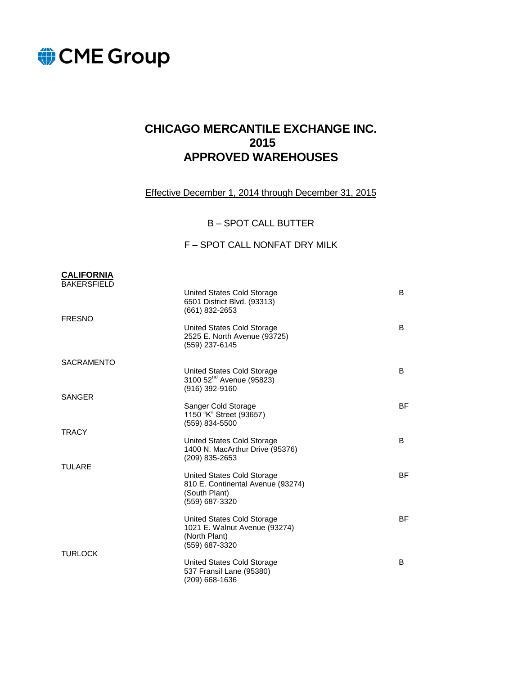

# **CHICAGO MERCANTILE EXCHANGE INC. 2015 APPROVED WAREHOUSES**

Effective December 1, 2014 through December 31, 2015

B – SPOT CALL BUTTER

#### F – SPOT CALL NONFAT DRY MILK

#### **CALIFORNIA**  BAKERSFIELD

| <b>FRESNO</b>     | United States Cold Storage<br>6501 District Blvd. (93313)<br>(661) 832-2653            | B         |
|-------------------|----------------------------------------------------------------------------------------|-----------|
|                   | United States Cold Storage<br>2525 E. North Avenue (93725)<br>(559) 237-6145           | B         |
| <b>SACRAMENTO</b> |                                                                                        |           |
|                   | United States Cold Storage<br>3100 52 <sup>nd</sup> Avenue (95823)<br>$(916)$ 392-9160 | B         |
| SANGER            | Sanger Cold Storage                                                                    | BF        |
|                   | 1150 "K" Street (93657)<br>(559) 834-5500                                              |           |
| <b>TRACY</b>      | United States Cold Storage                                                             | B         |
|                   | 1400 N. MacArthur Drive (95376)<br>(209) 835-2653                                      |           |
| TULARE            | United States Cold Storage                                                             | ВF        |
|                   | 810 E. Continental Avenue (93274)<br>(South Plant)<br>(559) 687-3320                   |           |
|                   | United States Cold Storage                                                             | <b>BF</b> |
|                   | 1021 E. Walnut Avenue (93274)<br>(North Plant)<br>(559) 687-3320                       |           |
| TURLOCK           | United States Cold Storage                                                             | B         |
|                   | 537 Fransil Lane (95380)<br>(209) 668-1636                                             |           |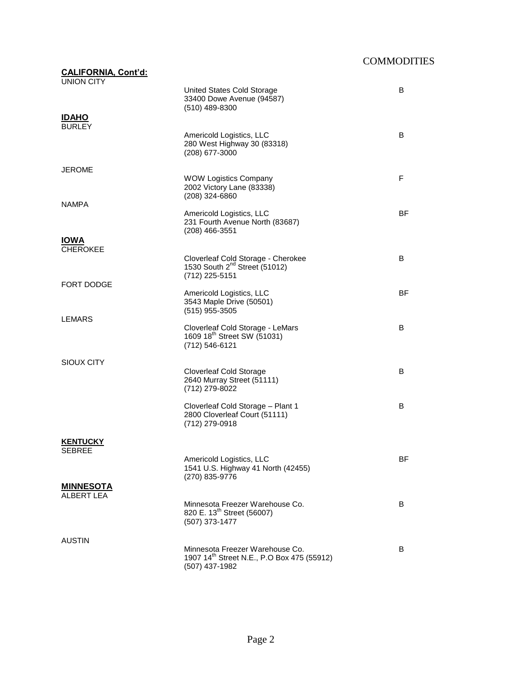| <b>CALIFORNIA, Cont'd:</b><br><b>UNION CITY</b> |                                                                                                             |           |
|-------------------------------------------------|-------------------------------------------------------------------------------------------------------------|-----------|
|                                                 | United States Cold Storage<br>33400 Dowe Avenue (94587)<br>$(510)$ 489-8300                                 | B         |
| <b>IDAHO</b><br><b>BURLEY</b>                   |                                                                                                             |           |
|                                                 | Americold Logistics, LLC<br>280 West Highway 30 (83318)<br>(208) 677-3000                                   | B         |
| <b>JEROME</b>                                   |                                                                                                             |           |
| <b>NAMPA</b>                                    | <b>WOW Logistics Company</b><br>2002 Victory Lane (83338)<br>$(208)$ 324-6860                               | F         |
|                                                 | Americold Logistics, LLC<br>231 Fourth Avenue North (83687)<br>$(208)$ 466-3551                             | ВF        |
| <b>IOWA</b><br><b>CHEROKEE</b>                  |                                                                                                             |           |
|                                                 | Cloverleaf Cold Storage - Cherokee<br>1530 South 2 <sup>nd</sup> Street (51012)<br>(712) 225-5151           | B         |
| FORT DODGE                                      | Americold Logistics, LLC                                                                                    | <b>BF</b> |
| LEMARS                                          | 3543 Maple Drive (50501)<br>$(515)$ 955-3505                                                                |           |
|                                                 | Cloverleaf Cold Storage - LeMars<br>1609 18 <sup>th</sup> Street SW (51031)<br>(712) 546-6121               | B         |
| SIOUX CITY                                      |                                                                                                             |           |
|                                                 | <b>Cloverleaf Cold Storage</b><br>2640 Murray Street (51111)<br>(712) 279-8022                              | B         |
|                                                 | Cloverleaf Cold Storage - Plant 1<br>2800 Cloverleaf Court (51111)<br>(712) 279-0918                        | B         |
| <b>KENTUCKY</b>                                 |                                                                                                             |           |
| SEBREE                                          | Americold Logistics, LLC<br>1541 U.S. Highway 41 North (42455)<br>(270) 835-9776                            | <b>BF</b> |
| <b>MINNESOTA</b><br><b>ALBERT LEA</b>           |                                                                                                             |           |
|                                                 | Minnesota Freezer Warehouse Co.<br>820 E. 13 <sup>th</sup> Street (56007)<br>(507) 373-1477                 | B         |
| AUSTIN                                          |                                                                                                             |           |
|                                                 | Minnesota Freezer Warehouse Co.<br>1907 14 <sup>th</sup> Street N.E., P.O Box 475 (55912)<br>(507) 437-1982 | B         |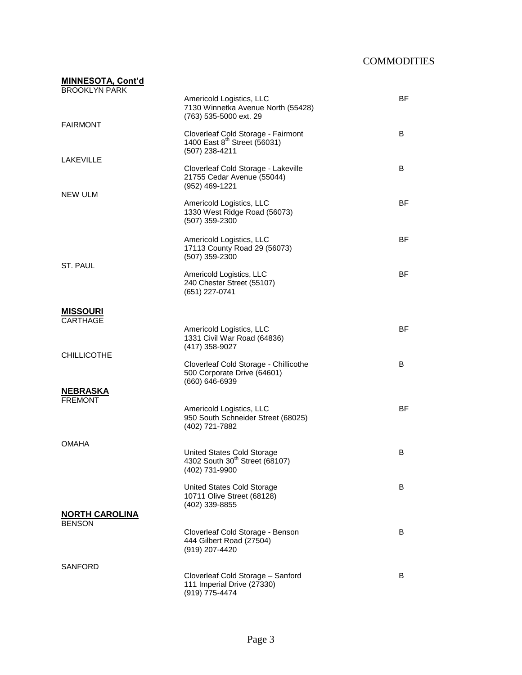| <b>MINNESOTA, Cont'd</b><br><b>BROOKLYN PARK</b> |                                                                                                  |           |
|--------------------------------------------------|--------------------------------------------------------------------------------------------------|-----------|
| <b>FAIRMONT</b>                                  | Americold Logistics, LLC<br>7130 Winnetka Avenue North (55428)<br>(763) 535-5000 ext. 29         | <b>BF</b> |
|                                                  | Cloverleaf Cold Storage - Fairmont<br>1400 East 8 <sup>th</sup> Street (56031)<br>(507) 238-4211 | B         |
| <b>LAKEVILLE</b>                                 | Cloverleaf Cold Storage - Lakeville<br>21755 Cedar Avenue (55044)<br>(952) 469-1221              | B         |
| NEW ULM                                          | Americold Logistics, LLC<br>1330 West Ridge Road (56073)<br>(507) 359-2300                       | <b>BF</b> |
|                                                  | Americold Logistics, LLC<br>17113 County Road 29 (56073)<br>(507) 359-2300                       | <b>BF</b> |
| ST. PAUL                                         | Americold Logistics, LLC<br>240 Chester Street (55107)<br>(651) 227-0741                         | <b>BF</b> |
| <b>MISSOURI</b><br><b>CARTHAGE</b>               |                                                                                                  |           |
|                                                  | Americold Logistics, LLC<br>1331 Civil War Road (64836)<br>(417) 358-9027                        | BF        |
| <b>CHILLICOTHE</b>                               | Cloverleaf Cold Storage - Chillicothe<br>500 Corporate Drive (64601)<br>(660) 646-6939           | B         |
| <b>NEBRASKA</b><br><b>FREMONT</b>                |                                                                                                  |           |
|                                                  | Americold Logistics, LLC<br>950 South Schneider Street (68025)<br>(402) 721-7882                 | <b>BF</b> |
| <b>OMAHA</b>                                     |                                                                                                  |           |
|                                                  | United States Cold Storage<br>4302 South 30 <sup>th</sup> Street (68107)<br>(402) 731-9900       | B         |
|                                                  | United States Cold Storage<br>10711 Olive Street (68128)<br>(402) 339-8855                       | B         |
| <b>NORTH CAROLINA</b><br><b>BENSON</b>           |                                                                                                  |           |
|                                                  | Cloverleaf Cold Storage - Benson<br>444 Gilbert Road (27504)<br>(919) 207-4420                   | B         |
| SANFORD                                          | Cloverleaf Cold Storage - Sanford                                                                | B         |
|                                                  | 111 Imperial Drive (27330)<br>(919) 775-4474                                                     |           |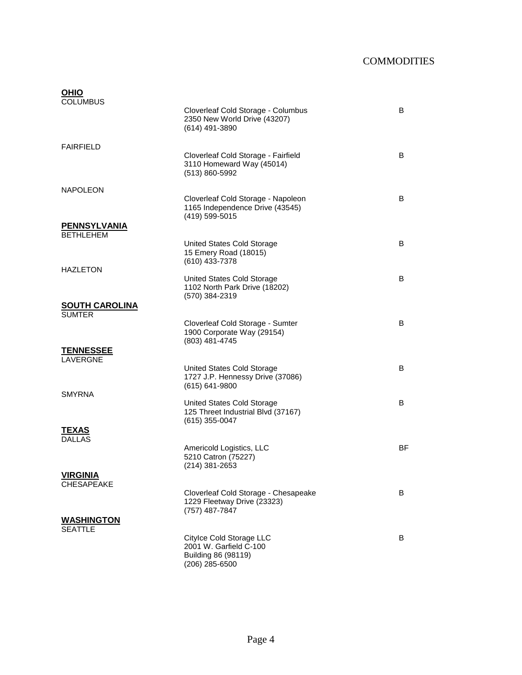| <b>OHIO</b>                            |                                                                                         |    |
|----------------------------------------|-----------------------------------------------------------------------------------------|----|
| <b>COLUMBUS</b>                        | Cloverleaf Cold Storage - Columbus<br>2350 New World Drive (43207)<br>(614) 491-3890    | B  |
| FAIRFIELD                              |                                                                                         |    |
|                                        | Cloverleaf Cold Storage - Fairfield<br>3110 Homeward Way (45014)<br>(513) 860-5992      | B  |
| <b>NAPOLEON</b>                        |                                                                                         |    |
|                                        | Cloverleaf Cold Storage - Napoleon<br>1165 Independence Drive (43545)<br>(419) 599-5015 | B  |
| <b>PENNSYLVANIA</b>                    |                                                                                         |    |
| <b>BETHLEHEM</b>                       | United States Cold Storage                                                              | B  |
|                                        | 15 Emery Road (18015)<br>(610) 433-7378                                                 |    |
| <b>HAZLETON</b>                        | United States Cold Storage<br>1102 North Park Drive (18202)                             | B  |
|                                        | (570) 384-2319                                                                          |    |
| <b>SOUTH CAROLINA</b><br><b>SUMTER</b> |                                                                                         |    |
|                                        | Cloverleaf Cold Storage - Sumter<br>1900 Corporate Way (29154)<br>(803) 481-4745        | B  |
| <b>TENNESSEE</b><br>LAVERGNE           |                                                                                         |    |
|                                        | United States Cold Storage<br>1727 J.P. Hennessy Drive (37086)<br>$(615) 641 - 9800$    | B  |
| <b>SMYRNA</b>                          | United States Cold Storage                                                              | B  |
|                                        | 125 Threet Industrial Blvd (37167)<br>$(615)$ 355-0047                                  |    |
| TEXAS                                  |                                                                                         |    |
| DALLAS                                 | Americold Logistics, LLC<br>5210 Catron (75227)<br>$(214)$ 381-2653                     | ΒF |
| <b>VIRGINIA</b>                        |                                                                                         |    |
| <b>CHESAPEAKE</b>                      |                                                                                         |    |
|                                        | Cloverleaf Cold Storage - Chesapeake<br>1229 Fleetway Drive (23323)<br>(757) 487-7847   | B  |
| <b>WASHINGTON</b>                      |                                                                                         |    |
| <b>SEATTLE</b>                         | Citylce Cold Storage LLC                                                                | В  |
|                                        | 2001 W. Garfield C-100<br>Building 86 (98119)<br>(206) 285-6500                         |    |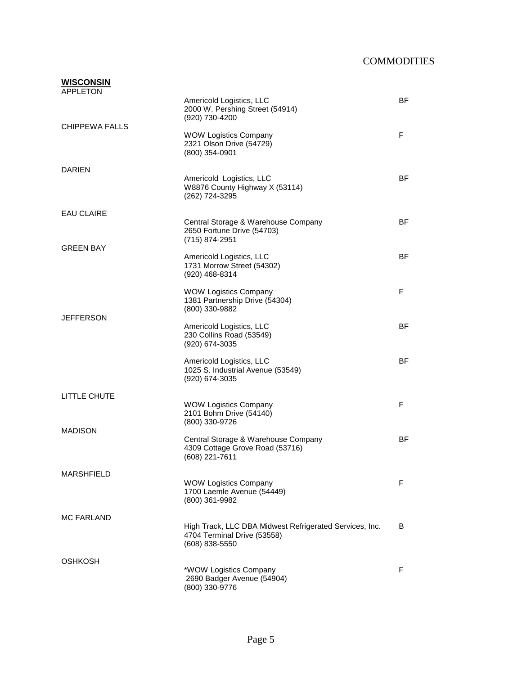| <b>WISCONSIN</b><br>APPLETON |                                                                                                          |           |
|------------------------------|----------------------------------------------------------------------------------------------------------|-----------|
|                              | Americold Logistics, LLC<br>2000 W. Pershing Street (54914)<br>(920) 730-4200                            | <b>BF</b> |
| <b>CHIPPEWA FALLS</b>        | <b>WOW Logistics Company</b><br>2321 Olson Drive (54729)<br>(800) 354-0901                               | F         |
| <b>DARIEN</b>                |                                                                                                          |           |
|                              | Americold Logistics, LLC<br>W8876 County Highway X (53114)<br>(262) 724-3295                             | <b>BF</b> |
| <b>EAU CLAIRE</b>            |                                                                                                          |           |
|                              | Central Storage & Warehouse Company<br>2650 Fortune Drive (54703)<br>(715) 874-2951                      | <b>BF</b> |
| <b>GREEN BAY</b>             | Americold Logistics, LLC<br>1731 Morrow Street (54302)<br>(920) 468-8314                                 | <b>BF</b> |
| <b>JEFFERSON</b>             | <b>WOW Logistics Company</b><br>1381 Partnership Drive (54304)<br>(800) 330-9882                         | F         |
|                              | Americold Logistics, LLC<br>230 Collins Road (53549)<br>(920) 674-3035                                   | <b>BF</b> |
|                              | Americold Logistics, LLC<br>1025 S. Industrial Avenue (53549)<br>(920) 674-3035                          | <b>BF</b> |
| LITTLE CHUTE                 |                                                                                                          |           |
| <b>MADISON</b>               | <b>WOW Logistics Company</b><br>2101 Bohm Drive (54140)<br>(800) 330-9726                                | F         |
|                              | Central Storage & Warehouse Company<br>4309 Cottage Grove Road (53716)<br>(608) 221-7611                 | <b>BF</b> |
| <b>MARSHFIELD</b>            |                                                                                                          |           |
|                              | <b>WOW Logistics Company</b><br>1700 Laemle Avenue (54449)<br>(800) 361-9982                             | F         |
| <b>MC FARLAND</b>            | High Track, LLC DBA Midwest Refrigerated Services, Inc.<br>4704 Terminal Drive (53558)<br>(608) 838-5550 | B         |
| <b>OSHKOSH</b>               | *WOW Logistics Company<br>2690 Badger Avenue (54904)<br>(800) 330-9776                                   | F         |